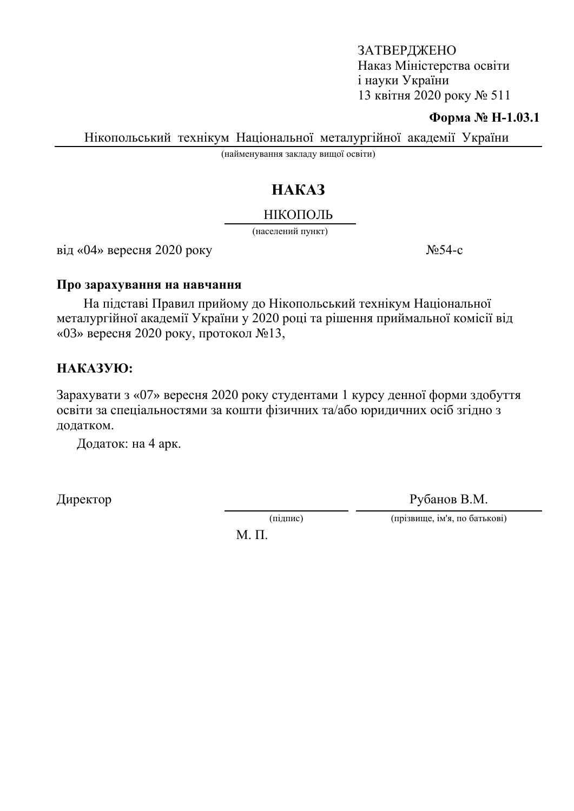#### **Форма № Н-1.03.1**

Нікопольський технікум Національної металургійної академії України

(найменування закладу вищої освіти)

# HAKA3

## НІКОПОЛЬ

(населений пункт)

 $\overline{\text{Bi}}\text{I} \ll 0$ 4» вересня 2020 року  $\overline{\text{Ne}}$ 54-с

#### Про зарахування на навчання

На підставі Правил прийому до Нікопольський технікум Національної металургійної академії України у 2020 році та рішення приймальної комісії від «03» вересня 2020 року, протокол  $\mathcal{N}$ <sup>013</sup>.

## HAKA3YIO:

Зарахувати з «07» вересня 2020 року студентами 1 курсу денної форми здобуття освіти за спеціальностями за кошти фізичних та/або юридичних осіб згідно з додатком.

Додаток: на 4 арк.

Директор Рубанов В.М.

(підпис) (прізвище, ім'я, по батькові)

 $M$ .  $\Pi$ .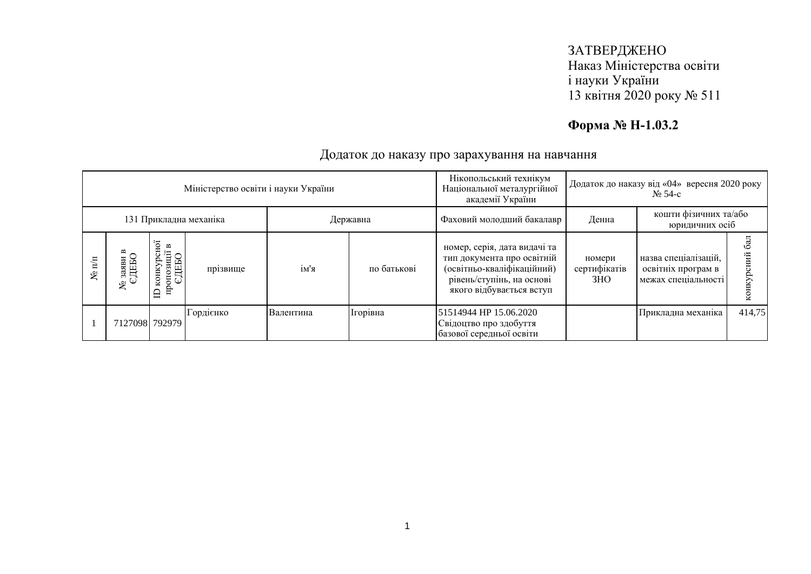## **Форма № Н-1.03.2**

| Міністерство освіти і науки України |                        |                |                                                                                                           |           |           |             | Нікопольський технікум<br>Національної металургійної<br>академії України                                                                          | Додаток до наказу від «04» вересня 2020 року<br>$\mathbf{N}$ <sup>o</sup> 54-c |                                                                   |        |
|-------------------------------------|------------------------|----------------|-----------------------------------------------------------------------------------------------------------|-----------|-----------|-------------|---------------------------------------------------------------------------------------------------------------------------------------------------|--------------------------------------------------------------------------------|-------------------------------------------------------------------|--------|
|                                     | 131 Прикладна механіка |                |                                                                                                           |           | Державна  |             | Фаховий молодший бакалавр                                                                                                                         | кошти фізичних та/або<br>Денна<br>юридичних осіб                               |                                                                   |        |
|                                     | ৼ                      | ৼ              | нoі<br>$\mathbf{r}$<br>$\begin{array}{c} \text{or} \\ \text{CIEBO} \end{array}$<br>конкуј<br>пропозі<br>≘ | прізвище  | ім'я      | по батькові | номер, серія, дата видачі та<br>тип документа про освітній<br>(освітньо-кваліфікаційний)<br>рівень/ступінь, на основі<br>якого відбувається вступ | номери<br>сертифікатів<br>3HO                                                  | назва спеціалізацій,<br>освітніх програм в<br>межах спеціальності |        |
|                                     |                        | 7127098 792979 |                                                                                                           | Гордієнко | Валентина | Ігорівна    | 51514944 HP 15.06.2020<br>Свідоцтво про здобуття<br>базової середньої освіти                                                                      |                                                                                | Прикладна механіка                                                | 414,75 |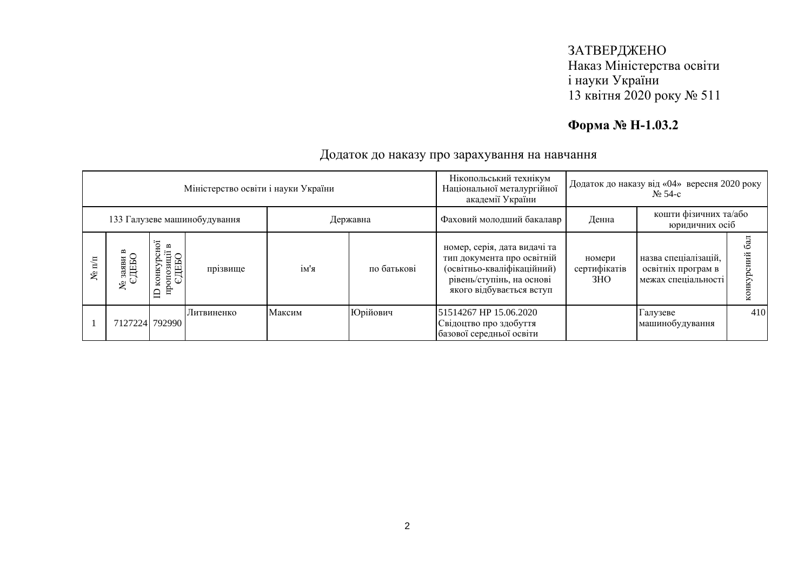## **Форма № Н-1.03.2**

| Міністерство освіти і науки України |         |                 |                                         |            |        |                           | Нікопольський технікум<br>Національної металургійної<br>академії України                                                                          | Додаток до наказу від «04» вересня 2020 року<br>$\mathbf{N}$ <sup>o</sup> 54-c |                                                                   |     |
|-------------------------------------|---------|-----------------|-----------------------------------------|------------|--------|---------------------------|---------------------------------------------------------------------------------------------------------------------------------------------------|--------------------------------------------------------------------------------|-------------------------------------------------------------------|-----|
| 133 Галузеве машинобудування        |         |                 |                                         | Державна   |        | Фаховий молодший бакалавр | Денна                                                                                                                                             | кошти фізичних та/або<br>юридичних осіб                                        |                                                                   |     |
|                                     | $N$ π/π | ۶               | ē<br>пропозиції<br>ЄДЕБО<br>конкур<br>≘ | прізвище   | ім'я   | по батькові               | номер, серія, дата видачі та<br>тип документа про освітній<br>(освітньо-кваліфікаційний)<br>рівень/ступінь, на основі<br>якого відбувається вступ | номери<br>сертифікатів<br>3HO                                                  | назва спеціалізацій,<br>освітніх програм в<br>межах спеціальності |     |
|                                     |         | 712722417929901 |                                         | Литвиненко | Максим | Юрійович                  | 51514267 HP 15.06.2020<br>Свідоцтво про здобуття<br>базової середньої освіти                                                                      |                                                                                | Галузеве<br>машинобудування                                       | 410 |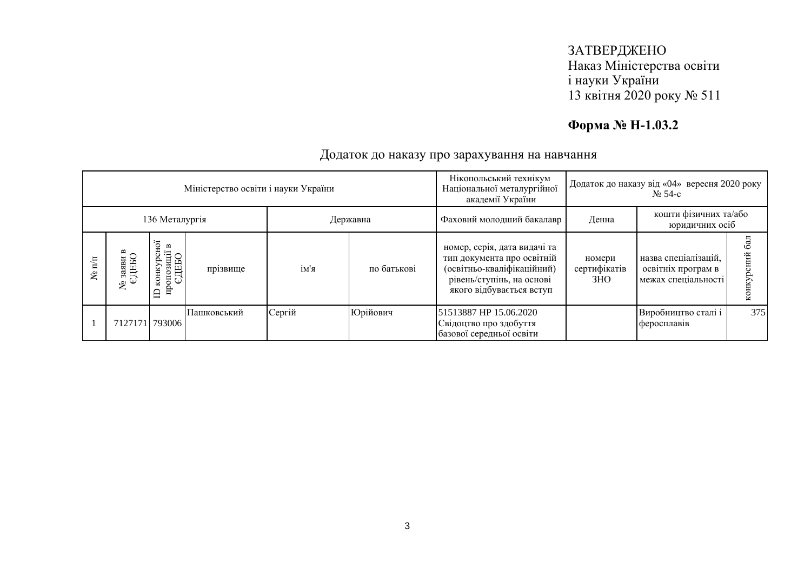## **Форма № Н-1.03.2**

| Міністерство освіти і науки України |                |                |                                                                                                                         |             |          |             | Нікопольський технікум<br>Національної металургійної<br>академії України                                                                          | Додаток до наказу від «04» вересня 2020 року<br>$\mathbf{N}$ <sup>o</sup> 54-c |                                                                   |     |
|-------------------------------------|----------------|----------------|-------------------------------------------------------------------------------------------------------------------------|-------------|----------|-------------|---------------------------------------------------------------------------------------------------------------------------------------------------|--------------------------------------------------------------------------------|-------------------------------------------------------------------|-----|
|                                     | 136 Металургія |                |                                                                                                                         |             | Державна |             | Фаховий молодший бакалавр                                                                                                                         | кошти фізичних та/або<br>Денна<br>юридичних осіб                               |                                                                   |     |
|                                     | ৼ              | ৼ              | нoі<br>$\mathbf{\underline{\infty}}$<br>$\begin{array}{c} \text{mponosanii} \\ \text{CHEBO} \end{array}$<br>конкуј<br>≘ | прізвище    | ім'я     | по батькові | номер, серія, дата видачі та<br>тип документа про освітній<br>(освітньо-кваліфікаційний)<br>рівень/ступінь, на основі<br>якого відбувається вступ | номери<br>сертифікатів<br>3HO                                                  | назва спеціалізацій,<br>освітніх програм в<br>межах спеціальності |     |
|                                     |                | 71271711793006 |                                                                                                                         | Пашковський | Сергій   | Юрійович    | 51513887 HP 15.06.2020<br>Свідоцтво про здобуття<br>базової середньої освіти                                                                      |                                                                                | Виробництво сталі і<br>феросплавів                                | 375 |